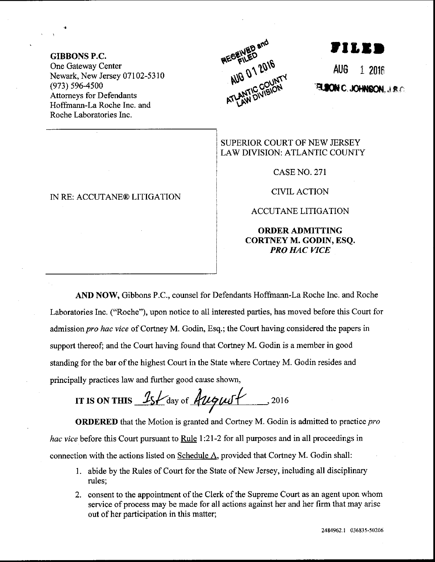GIBBONS P.C, One Gateway Center Newark, New Jersey 07102-5310 (973) s96-4s00 Attorneys for Defendants Hoffmann-La Roche Inc. and Roche Laboratories Inc.



,tI,tD

AUG 1 2O1E  $\blacksquare$  C.JOHNRON  $\cup$  s. $\cap$ 

SUPERIOR COURT OF NEW JERSEY LAW DIVISION: ATLANTIC COUNTY

CASENO.27I

CIVILACTION

ACCUTANE LITIGATION

ORDERADMITTING CORTNEY M. GODIN, ESQ, PRO HAC VICE

AND NOW, Gibbons P.C., counsel for Defendants Hoffmann-La Roche Inc. and Roche Laboratories Inc. ("Roche"), upon notice to all interested parties, has moved before this Court for admission pro hac vice of Cortney M. Godin, Esq.; the Court having considered the papers in support thereof; and the Court having found that Cortney M. Godin is a member in good standing for the bar of the highest Court in the State where Cortney M. Godin resides and principally practices law and further good cause shown,

IT IS ON THIS  $\frac{1}{5}$   $\frac{1}{4}$  day of  $\frac{1}{4}$   $\frac{1}{4}$   $\frac{1}{4}$   $\frac{1}{4}$   $\frac{1}{4}$   $\frac{1}{4}$   $\frac{1}{4}$   $\frac{1}{4}$   $\frac{1}{4}$   $\frac{1}{4}$   $\frac{1}{4}$   $\frac{1}{4}$   $\frac{1}{4}$   $\frac{1}{4}$   $\frac{1}{4}$   $\frac{1}{4}$   $\frac{1}{4}$   $\frac{1}{4}$ 

ORDERED that the Motion is granted and Cortney M. Godin is admitted to practice pro *hac vice* before this Court pursuant to Rule 1:21-2 for all purposes and in all proceedings in connection with the actions listed on Schedule A, provided that Cortney M. Godin shall:

- <sup>1</sup>. abide by the Rules of Court for the State of New Jersey, including all disciplinary rules;
- 2. consent to the appointment of the Clerk of the Supreme Court as an agent upon whom service of process may be made for all actions against her and her firm that may arise out of her participation in this matter;

IN RE: ACCUTANE@ LITIGATION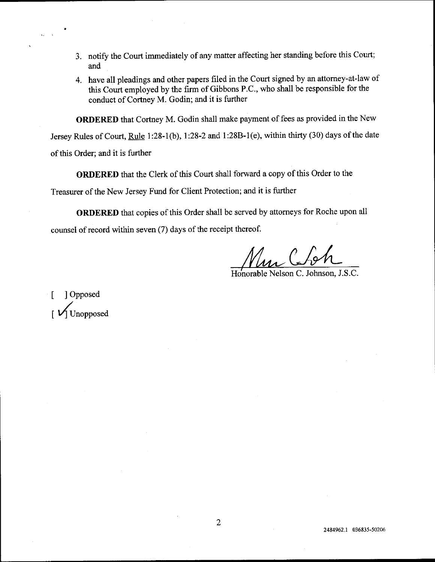- 3. notify the Court immediately of any matter affecting her standing before this Court; and
- 4. have all pleadings and other papers filed in the Court signed by an attorney-at-law of this Court employed by the firm of Gibbons P.C., who shall be responsible for the conduct of Cortney M. Godin; and it is further

ORDERED that Cortney M. Godin shall make payment of fees as provided in the New

Jersey Rules of Court, Rule 1:28-1(b), 1:28-2 and 1:28B-1(e), within thirty (30) days of the date

of this Order; and it is further

ORDERED that the Clerk of this Court shall forward a copy of this Order to the

Treasurer of the New Jersey Fund for Client Protection; and it is further

ORDERED that copies of this Order shall be served by attomeys for Roche upon all counsel of record within seven  $(7)$  days of the receipt thereof.

Honorable Nelson C. Johnson, J.S.C.

[ ] Opposed Unopposed